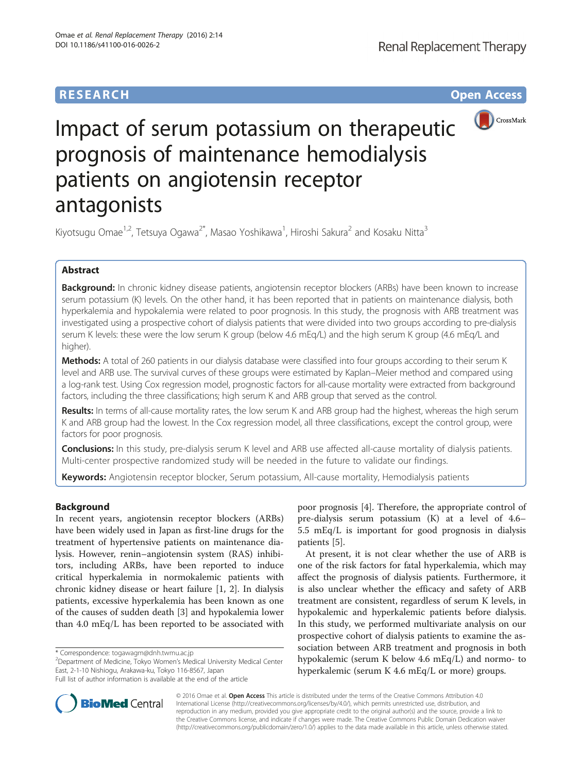## **RESEARCH CHINESE ARCH CHINESE ARCH CHINESE ARCH <b>CHINESE ARCH CHINESE ARCH CHINESE ARCH <b>CHINESE CHINESE**



# Impact of serum potassium on therapeutic prognosis of maintenance hemodialysis patients on angiotensin receptor antagonists

Kiyotsugu Omae<sup>1,2</sup>, Tetsuya Ogawa<sup>2\*</sup>, Masao Yoshikawa<sup>1</sup>, Hiroshi Sakura<sup>2</sup> and Kosaku Nitta<sup>3</sup>

## Abstract

Background: In chronic kidney disease patients, angiotensin receptor blockers (ARBs) have been known to increase serum potassium (K) levels. On the other hand, it has been reported that in patients on maintenance dialysis, both hyperkalemia and hypokalemia were related to poor prognosis. In this study, the prognosis with ARB treatment was investigated using a prospective cohort of dialysis patients that were divided into two groups according to pre-dialysis serum K levels: these were the low serum K group (below 4.6 mEq/L) and the high serum K group (4.6 mEq/L and higher).

Methods: A total of 260 patients in our dialysis database were classified into four groups according to their serum K level and ARB use. The survival curves of these groups were estimated by Kaplan–Meier method and compared using a log-rank test. Using Cox regression model, prognostic factors for all-cause mortality were extracted from background factors, including the three classifications; high serum K and ARB group that served as the control.

Results: In terms of all-cause mortality rates, the low serum K and ARB group had the highest, whereas the high serum K and ARB group had the lowest. In the Cox regression model, all three classifications, except the control group, were factors for poor prognosis.

Conclusions: In this study, pre-dialysis serum K level and ARB use affected all-cause mortality of dialysis patients. Multi-center prospective randomized study will be needed in the future to validate our findings.

Keywords: Angiotensin receptor blocker, Serum potassium, All-cause mortality, Hemodialysis patients

## Background

In recent years, angiotensin receptor blockers (ARBs) have been widely used in Japan as first-line drugs for the treatment of hypertensive patients on maintenance dialysis. However, renin–angiotensin system (RAS) inhibitors, including ARBs, have been reported to induce critical hyperkalemia in normokalemic patients with chronic kidney disease or heart failure [\[1](#page--1-0), [2\]](#page--1-0). In dialysis patients, excessive hyperkalemia has been known as one of the causes of sudden death [\[3](#page--1-0)] and hypokalemia lower than 4.0 mEq/L has been reported to be associated with

Department of Medicine, Tokyo Women's Medical University Medical Center East, 2-1-10 Nishiogu, Arakawa-ku, Tokyo 116-8567, Japan

poor prognosis [[4\]](#page--1-0). Therefore, the appropriate control of pre-dialysis serum potassium (K) at a level of 4.6– 5.5 mEq/L is important for good prognosis in dialysis patients [\[5\]](#page--1-0).

At present, it is not clear whether the use of ARB is one of the risk factors for fatal hyperkalemia, which may affect the prognosis of dialysis patients. Furthermore, it is also unclear whether the efficacy and safety of ARB treatment are consistent, regardless of serum K levels, in hypokalemic and hyperkalemic patients before dialysis. In this study, we performed multivariate analysis on our prospective cohort of dialysis patients to examine the association between ARB treatment and prognosis in both hypokalemic (serum K below 4.6 mEq/L) and normo- to hyperkalemic (serum K 4.6 mEq/L or more) groups.



© 2016 Omae et al. Open Access This article is distributed under the terms of the Creative Commons Attribution 4.0 International License [\(http://creativecommons.org/licenses/by/4.0/](http://creativecommons.org/licenses/by/4.0/)), which permits unrestricted use, distribution, and reproduction in any medium, provided you give appropriate credit to the original author(s) and the source, provide a link to the Creative Commons license, and indicate if changes were made. The Creative Commons Public Domain Dedication waiver [\(http://creativecommons.org/publicdomain/zero/1.0/](http://creativecommons.org/publicdomain/zero/1.0/)) applies to the data made available in this article, unless otherwise stated.

<sup>\*</sup> Correspondence: [togawagm@dnh.twmu.ac.jp](mailto:togawagm@dnh.twmu.ac.jp) <sup>2</sup>

Full list of author information is available at the end of the article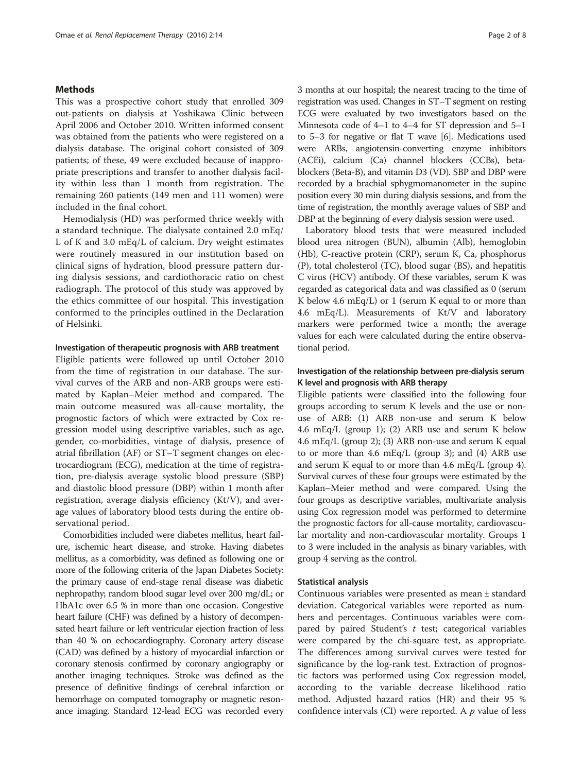### Methods

This was a prospective cohort study that enrolled 309 out-patients on dialysis at Yoshikawa Clinic between April 2006 and October 2010. Written informed consent was obtained from the patients who were registered on a dialysis database. The original cohort consisted of 309 patients; of these, 49 were excluded because of inappropriate prescriptions and transfer to another dialysis facility within less than 1 month from registration. The remaining 260 patients (149 men and 111 women) were included in the final cohort.

Hemodialysis (HD) was performed thrice weekly with a standard technique. The dialysate contained 2.0 mEq/ L of K and 3.0 mEq/L of calcium. Dry weight estimates were routinely measured in our institution based on clinical signs of hydration, blood pressure pattern during dialysis sessions, and cardiothoracic ratio on chest radiograph. The protocol of this study was approved by the ethics committee of our hospital. This investigation conformed to the principles outlined in the Declaration of Helsinki.

#### Investigation of therapeutic prognosis with ARB treatment

Eligible patients were followed up until October 2010 from the time of registration in our database. The survival curves of the ARB and non-ARB groups were estimated by Kaplan–Meier method and compared. The main outcome measured was all-cause mortality, the prognostic factors of which were extracted by Cox regression model using descriptive variables, such as age, gender, co-morbidities, vintage of dialysis, presence of atrial fibrillation (AF) or ST–T segment changes on electrocardiogram (ECG), medication at the time of registration, pre-dialysis average systolic blood pressure (SBP) and diastolic blood pressure (DBP) within 1 month after registration, average dialysis efficiency (Kt/V), and average values of laboratory blood tests during the entire observational period.

Comorbidities included were diabetes mellitus, heart failure, ischemic heart disease, and stroke. Having diabetes mellitus, as a comorbidity, was defined as following one or more of the following criteria of the Japan Diabetes Society: the primary cause of end-stage renal disease was diabetic nephropathy; random blood sugar level over 200 mg/dL; or HbA1c over 6.5 % in more than one occasion. Congestive heart failure (CHF) was defined by a history of decompensated heart failure or left ventricular ejection fraction of less than 40 % on echocardiography. Coronary artery disease (CAD) was defined by a history of myocardial infarction or coronary stenosis confirmed by coronary angiography or another imaging techniques. Stroke was defined as the presence of definitive findings of cerebral infarction or hemorrhage on computed tomography or magnetic resonance imaging. Standard 12-lead ECG was recorded every 3 months at our hospital; the nearest tracing to the time of registration was used. Changes in ST–T segment on resting ECG were evaluated by two investigators based on the Minnesota code of 4–1 to 4–4 for ST depression and 5–1 to 5–3 for negative or flat T wave [\[6\]](#page--1-0). Medications used were ARBs, angiotensin-converting enzyme inhibitors (ACEi), calcium (Ca) channel blockers (CCBs), betablockers (Beta-B), and vitamin D3 (VD). SBP and DBP were recorded by a brachial sphygmomanometer in the supine position every 30 min during dialysis sessions, and from the time of registration, the monthly average values of SBP and DBP at the beginning of every dialysis session were used.

Laboratory blood tests that were measured included blood urea nitrogen (BUN), albumin (Alb), hemoglobin (Hb), C-reactive protein (CRP), serum K, Ca, phosphorus (P), total cholesterol (TC), blood sugar (BS), and hepatitis C virus (HCV) antibody. Of these variables, serum K was regarded as categorical data and was classified as 0 (serum K below 4.6 mEq/L) or 1 (serum K equal to or more than 4.6 mEq/L). Measurements of Kt/V and laboratory markers were performed twice a month; the average values for each were calculated during the entire observational period.

## Investigation of the relationship between pre-dialysis serum K level and prognosis with ARB therapy

Eligible patients were classified into the following four groups according to serum K levels and the use or nonuse of ARB: (1) ARB non-use and serum K below 4.6 mEq/L (group 1); (2) ARB use and serum K below 4.6 mEq/L (group 2); (3) ARB non-use and serum K equal to or more than 4.6 mEq/L (group 3); and (4) ARB use and serum K equal to or more than 4.6 mEq/L (group 4). Survival curves of these four groups were estimated by the Kaplan–Meier method and were compared. Using the four groups as descriptive variables, multivariate analysis using Cox regression model was performed to determine the prognostic factors for all-cause mortality, cardiovascular mortality and non-cardiovascular mortality. Groups 1 to 3 were included in the analysis as binary variables, with group 4 serving as the control.

#### Statistical analysis

Continuous variables were presented as mean ± standard deviation. Categorical variables were reported as numbers and percentages. Continuous variables were compared by paired Student's  $t$  test; categorical variables were compared by the chi-square test, as appropriate. The differences among survival curves were tested for significance by the log-rank test. Extraction of prognostic factors was performed using Cox regression model, according to the variable decrease likelihood ratio method. Adjusted hazard ratios (HR) and their 95 % confidence intervals (CI) were reported. A  $p$  value of less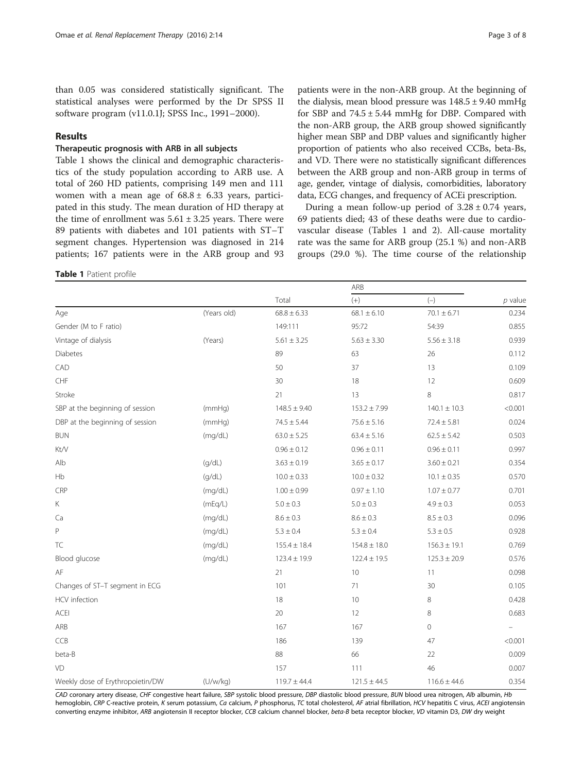than 0.05 was considered statistically significant. The statistical analyses were performed by the Dr SPSS II software program (v11.0.1J; SPSS Inc., 1991–2000).

## Results

## Therapeutic prognosis with ARB in all subjects

Table 1 shows the clinical and demographic characteristics of the study population according to ARB use. A total of 260 HD patients, comprising 149 men and 111 women with a mean age of  $68.8 \pm 6.33$  years, participated in this study. The mean duration of HD therapy at the time of enrollment was  $5.61 \pm 3.25$  years. There were 89 patients with diabetes and 101 patients with ST–T segment changes. Hypertension was diagnosed in 214 patients; 167 patients were in the ARB group and 93

#### Table 1 Patient profile

patients were in the non-ARB group. At the beginning of the dialysis, mean blood pressure was  $148.5 \pm 9.40$  mmHg for SBP and  $74.5 \pm 5.44$  mmHg for DBP. Compared with the non-ARB group, the ARB group showed significantly higher mean SBP and DBP values and significantly higher proportion of patients who also received CCBs, beta-Bs, and VD. There were no statistically significant differences between the ARB group and non-ARB group in terms of age, gender, vintage of dialysis, comorbidities, laboratory data, ECG changes, and frequency of ACEi prescription.

During a mean follow-up period of  $3.28 \pm 0.74$  years, 69 patients died; 43 of these deaths were due to cardiovascular disease (Tables 1 and [2](#page-3-0)). All-cause mortality rate was the same for ARB group (25.1 %) and non-ARB groups (29.0 %). The time course of the relationship

|                                  |             | ARB              |                  |                   |           |
|----------------------------------|-------------|------------------|------------------|-------------------|-----------|
|                                  |             | Total            | $(+)$            | $\left( -\right)$ | $p$ value |
| Age                              | (Years old) | $68.8 \pm 6.33$  | $68.1 \pm 6.10$  | $70.1 \pm 6.71$   | 0.234     |
| Gender (M to F ratio)            |             | 149:111          | 95:72            | 54:39             | 0.855     |
| Vintage of dialysis              | (Years)     | $5.61 \pm 3.25$  | $5.63 \pm 3.30$  | $5.56 \pm 3.18$   | 0.939     |
| Diabetes                         |             | 89               | 63               | 26                | 0.112     |
| CAD                              |             | 50               | 37               | 13                | 0.109     |
| ${\sf CHF}$                      |             | 30               | 18               | 12                | 0.609     |
| Stroke                           |             | 21               | 13               | 8                 | 0.817     |
| SBP at the beginning of session  | (mmHq)      | $148.5 \pm 9.40$ | $153.2 \pm 7.99$ | $140.1 \pm 10.3$  | < 0.001   |
| DBP at the beginning of session  | (mmHq)      | $74.5 \pm 5.44$  | $75.6 \pm 5.16$  | $72.4 \pm 5.81$   | 0.024     |
| <b>BUN</b>                       | (mq/dL)     | $63.0 \pm 5.25$  | $63.4 \pm 5.16$  | $62.5 \pm 5.42$   | 0.503     |
| Kt/V                             |             | $0.96 \pm 0.12$  | $0.96 \pm 0.11$  | $0.96 \pm 0.11$   | 0.997     |
| Alb                              | (g/dL)      | $3.63 \pm 0.19$  | $3.65 \pm 0.17$  | $3.60 \pm 0.21$   | 0.354     |
| Hb                               | (g/dL)      | $10.0 \pm 0.33$  | $10.0 \pm 0.32$  | $10.1 \pm 0.35$   | 0.570     |
| CRP                              | (mq/dL)     | $1.00 \pm 0.99$  | $0.97 \pm 1.10$  | $1.07 \pm 0.77$   | 0.701     |
| Κ                                | (mEq/L)     | $5.0 \pm 0.3$    | $5.0 \pm 0.3$    | $4.9 \pm 0.3$     | 0.053     |
| Ca                               | (mg/dL)     | $8.6 \pm 0.3$    | $8.6 \pm 0.3$    | $8.5\pm0.3$       | 0.096     |
| P                                | (mq/dL)     | $5.3 \pm 0.4$    | $5.3 \pm 0.4$    | $5.3 \pm 0.5$     | 0.928     |
| <b>TC</b>                        | (mq/dL)     | $155.4 \pm 18.4$ | $154.8 \pm 18.0$ | $156.3 \pm 19.1$  | 0.769     |
| Blood glucose                    | (mq/dL)     | $123.4 \pm 19.9$ | $122.4 \pm 19.5$ | $125.3 \pm 20.9$  | 0.576     |
| AF                               |             | 21               | 10               | 11                | 0.098     |
| Changes of ST-T segment in ECG   |             | 101              | 71               | 30                | 0.105     |
| HCV infection                    |             | 18               | 10               | 8                 | 0.428     |
| <b>ACEI</b>                      |             | 20               | 12               | 8                 | 0.683     |
| ARB                              |             | 167              | 167              | $\circ$           | $\equiv$  |
| CCB                              |             | 186              | 139              | 47                | < 0.001   |
| beta-B                           |             | 88               | 66               | 22                | 0.009     |
| VD                               |             | 157              | 111              | 46                | 0.007     |
| Weekly dose of Erythropoietin/DW | (U/w/kg)    | $119.7 \pm 44.4$ | $121.5 \pm 44.5$ | $116.6 \pm 44.6$  | 0.354     |

CAD coronary artery disease, CHF congestive heart failure, SBP systolic blood pressure, DBP diastolic blood pressure, BUN blood urea nitrogen, Alb albumin, Hb hemoglobin, CRP C-reactive protein, K serum potassium, Ca calcium, P phosphorus, TC total cholesterol, AF atrial fibrillation, HCV hepatitis C virus, ACEI angiotensin converting enzyme inhibitor, ARB angiotensin II receptor blocker, CCB calcium channel blocker, beta-B beta receptor blocker, VD vitamin D3, DW dry weight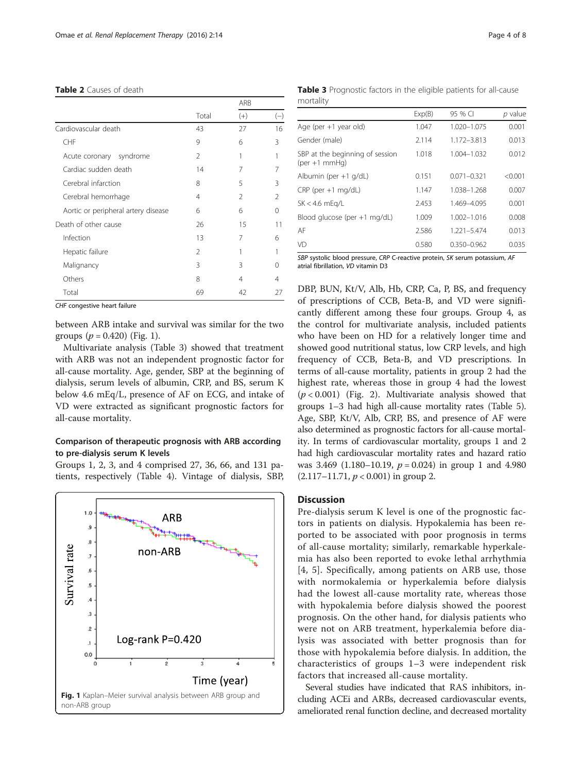#### <span id="page-3-0"></span>Table 2 Causes of death

|                                     |                | ARB            |               |
|-------------------------------------|----------------|----------------|---------------|
|                                     | Total          | $(+)$          | $(-)$         |
| Cardiovascular death                | 43             | 27             | 16            |
| CHF                                 | 9              | 6              | 3             |
| syndrome<br>Acute coronary          | $\mathcal{P}$  | 1              |               |
| Cardiac sudden death                | 14             | 7              | 7             |
| Cerebral infarction                 | 8              | 5              | 3             |
| Cerebral hemorrhage                 | 4              | $\mathfrak{D}$ | $\mathcal{P}$ |
| Aortic or peripheral artery disease | 6              | 6              | 0             |
| Death of other cause                | 26             | 15             | 11            |
| Infection                           | 13             | 7              | 6             |
| Hepatic failure                     | $\mathfrak{D}$ |                |               |
| Malignancy                          | 3              | 3              | U             |
| Others                              | 8              | 4              | 4             |
| Total                               | 69             | 42             | 27            |

CHF congestive heart failure

between ARB intake and survival was similar for the two groups ( $p = 0.420$ ) (Fig. 1).

Multivariate analysis (Table 3) showed that treatment with ARB was not an independent prognostic factor for all-cause mortality. Age, gender, SBP at the beginning of dialysis, serum levels of albumin, CRP, and BS, serum K below 4.6 mEq/L, presence of AF on ECG, and intake of VD were extracted as significant prognostic factors for all-cause mortality.

## Comparison of therapeutic prognosis with ARB according to pre-dialysis serum K levels

Groups 1, 2, 3, and 4 comprised 27, 36, 66, and 131 patients, respectively (Table [4\)](#page-4-0). Vintage of dialysis, SBP,



Table 3 Prognostic factors in the eligible patients for all-cause mortality

|                                                                    | Exp(B) | 95 % CI         | p value |
|--------------------------------------------------------------------|--------|-----------------|---------|
| Age (per +1 year old)                                              | 1.047  | 1.020-1.075     | 0.001   |
| Gender (male)                                                      | 2.114  | 1.172-3.813     | 0.013   |
| SBP at the beginning of session<br>$(\text{per} + 1 \text{ mmHq})$ | 1.018  | 1.004-1.032     | 0.012   |
| Albumin (per +1 g/dL)                                              | 0.151  | $0.071 - 0.321$ | < 0.001 |
| $CRP$ (per $+1$ mg/dL)                                             | 1.147  | 1.038-1.268     | 0.007   |
| $SK < 4.6$ mEg/L                                                   | 2.453  | 1.469-4.095     | 0.001   |
| Blood glucose (per +1 mg/dL)                                       | 1.009  | 1.002-1.016     | 0.008   |
| AF                                                                 | 2.586  | 1.221-5.474     | 0.013   |
| VD                                                                 | 0.580  | 0.350-0.962     | 0.035   |
|                                                                    |        |                 |         |

SBP systolic blood pressure, CRP C-reactive protein, SK serum potassium, AF atrial fibrillation, VD vitamin D3

DBP, BUN, Kt/V, Alb, Hb, CRP, Ca, P, BS, and frequency of prescriptions of CCB, Beta-B, and VD were significantly different among these four groups. Group 4, as the control for multivariate analysis, included patients who have been on HD for a relatively longer time and showed good nutritional status, low CRP levels, and high frequency of CCB, Beta-B, and VD prescriptions. In terms of all-cause mortality, patients in group 2 had the highest rate, whereas those in group 4 had the lowest  $(p < 0.001)$  (Fig. [2\)](#page-5-0). Multivariate analysis showed that groups 1–3 had high all-cause mortality rates (Table [5](#page-5-0)). Age, SBP, Kt/V, Alb, CRP, BS, and presence of AF were also determined as prognostic factors for all-cause mortality. In terms of cardiovascular mortality, groups 1 and 2 had high cardiovascular mortality rates and hazard ratio was 3.469 (1.180–10.19,  $p = 0.024$ ) in group 1 and 4.980  $(2.117-11.71, p < 0.001)$  in group 2.

## **Discussion**

Pre-dialysis serum K level is one of the prognostic factors in patients on dialysis. Hypokalemia has been reported to be associated with poor prognosis in terms of all-cause mortality; similarly, remarkable hyperkalemia has also been reported to evoke lethal arrhythmia [[4](#page--1-0), [5\]](#page--1-0). Specifically, among patients on ARB use, those with normokalemia or hyperkalemia before dialysis had the lowest all-cause mortality rate, whereas those with hypokalemia before dialysis showed the poorest prognosis. On the other hand, for dialysis patients who were not on ARB treatment, hyperkalemia before dialysis was associated with better prognosis than for those with hypokalemia before dialysis. In addition, the characteristics of groups 1–3 were independent risk factors that increased all-cause mortality.

Several studies have indicated that RAS inhibitors, including ACEi and ARBs, decreased cardiovascular events, ameliorated renal function decline, and decreased mortality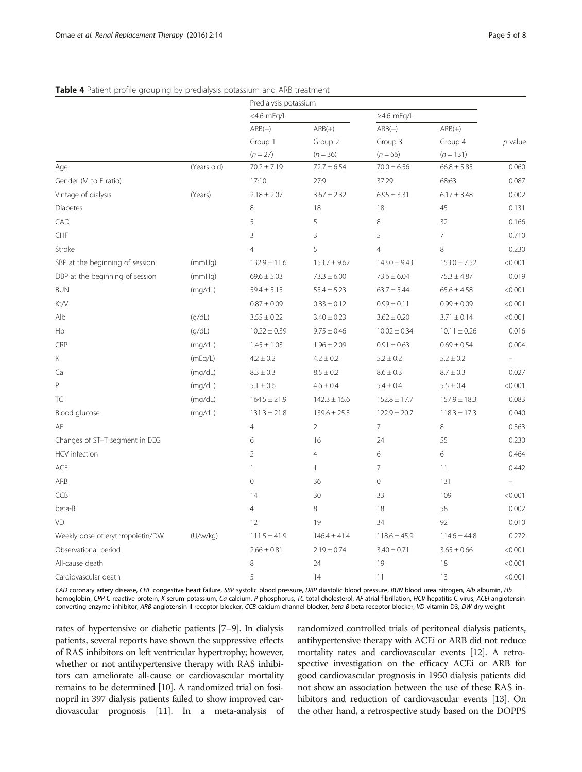|                                  |             | Predialysis potassium             |                                   |                  |                     |           |
|----------------------------------|-------------|-----------------------------------|-----------------------------------|------------------|---------------------|-----------|
|                                  |             | <4.6 mEg/L                        |                                   | $\geq$ 4.6 mEq/L |                     |           |
|                                  |             | $ARB(-)$<br>Group 1<br>$(n = 27)$ | $ARB(+)$<br>Group 2<br>$(n = 36)$ | $ARB(-)$         | $ARB(+)$<br>Group 4 |           |
|                                  |             |                                   |                                   | Group 3          |                     | $p$ value |
|                                  |             |                                   |                                   | $(n = 66)$       | $(n = 131)$         |           |
| Age                              | (Years old) | $70.2 \pm 7.19$                   | $72.7 \pm 6.54$                   | $70.0 \pm 6.56$  | $66.8 \pm 5.85$     | 0.060     |
| Gender (M to F ratio)            |             | 17:10                             | 27:9                              | 37:29            | 68:63               | 0.087     |
| Vintage of dialysis              | (Years)     | $2.18 \pm 2.07$                   | $3.67 \pm 2.32$                   | $6.95 \pm 3.31$  | $6.17 \pm 3.48$     | 0.002     |
| <b>Diabetes</b>                  |             | 8                                 | 18                                | 18               | 45                  | 0.131     |
| CAD                              |             | 5                                 | 5                                 | $\,8\,$          | 32                  | 0.166     |
| CHF                              |             | 3                                 | 3                                 | 5                | $\overline{7}$      | 0.710     |
| Stroke                           |             | $\overline{4}$                    | 5                                 | $\overline{4}$   | 8                   | 0.230     |
| SBP at the beginning of session  | (mmHq)      | $132.9 \pm 11.6$                  | $153.7 \pm 9.62$                  | $143.0 \pm 9.43$ | $153.0 \pm 7.52$    | < 0.001   |
| DBP at the beginning of session  | (mmHq)      | $69.6 \pm 5.03$                   | $73.3 \pm 6.00$                   | $73.6 \pm 6.04$  | $75.3 \pm 4.87$     | 0.019     |
| <b>BUN</b>                       | (mq/dL)     | $59.4 \pm 5.15$                   | $55.4 \pm 5.23$                   | $63.7 \pm 5.44$  | $65.6 \pm 4.58$     | < 0.001   |
| Kt/V                             |             | $0.87 \pm 0.09$                   | $0.83 \pm 0.12$                   | $0.99 \pm 0.11$  | $0.99 \pm 0.09$     | < 0.001   |
| Alb                              | (q/dL)      | $3.55 \pm 0.22$                   | $3.40 \pm 0.23$                   | $3.62 \pm 0.20$  | $3.71 \pm 0.14$     | < 0.001   |
| Hb                               | (q/dL)      | $10.22 \pm 0.39$                  | $9.75 \pm 0.46$                   | $10.02 \pm 0.34$ | $10.11 \pm 0.26$    | 0.016     |
| CRP                              | (mq/dL)     | $1.45 \pm 1.03$                   | $1.96 \pm 2.09$                   | $0.91 \pm 0.63$  | $0.69 \pm 0.54$     | 0.004     |
| Κ                                | (mEq/L)     | $4.2 \pm 0.2$                     | $4.2 \pm 0.2$                     | $5.2 \pm 0.2$    | $5.2 \pm 0.2$       |           |
| Ca                               | (mq/dL)     | $8.3 \pm 0.3$                     | $8.5 \pm 0.2$                     | $8.6 \pm 0.3$    | $8.7 \pm 0.3$       | 0.027     |
| P                                | (mq/dL)     | $5.1 \pm 0.6$                     | $4.6 \pm 0.4$                     | $5.4 \pm 0.4$    | $5.5 \pm 0.4$       | < 0.001   |
| TC                               | (mq/dL)     | $164.5 \pm 21.9$                  | $142.3 \pm 15.6$                  | $152.8 \pm 17.7$ | $157.9 \pm 18.3$    | 0.083     |
| Blood glucose                    | (mg/dL)     | $131.3 \pm 21.8$                  | $139.6 \pm 25.3$                  | $122.9 \pm 20.7$ | $118.3 \pm 17.3$    | 0.040     |
| AF                               |             | $\overline{4}$                    | $\overline{2}$                    | $\overline{7}$   | 8                   | 0.363     |
| Changes of ST-T segment in ECG   |             | 6                                 | 16                                | 24               | 55                  | 0.230     |
| HCV infection                    |             | $\overline{2}$                    | $\overline{4}$                    | 6                | 6                   | 0.464     |
| <b>ACEI</b>                      |             | $\mathbf{1}$                      | $\mathbf{1}$                      | $\overline{7}$   | 11                  | 0.442     |
| ARB                              |             | $\circ$                           | 36                                | $\overline{0}$   | 131                 |           |
| CCB                              |             | 14                                | 30                                | 33               | 109                 | < 0.001   |
| beta-B                           |             | $\overline{4}$                    | 8                                 | 18               | 58                  | 0.002     |
| VD                               |             | 12                                | 19                                | 34               | 92                  | 0.010     |
| Weekly dose of erythropoietin/DW | (U/w/kg)    | $111.5 \pm 41.9$                  | $146.4 \pm 41.4$                  | $118.6 \pm 45.9$ | $114.6 \pm 44.8$    | 0.272     |
| Observational period             |             | $2.66 \pm 0.81$                   | $2.19 \pm 0.74$                   | $3.40 \pm 0.71$  | $3.65 \pm 0.66$     | < 0.001   |
| All-cause death                  |             | 8                                 | 24                                | 19               | 18                  | < 0.001   |
| Cardiovascular death             |             | 5                                 | 14                                | 11               | 13                  | < 0.001   |

## <span id="page-4-0"></span>Table 4 Patient profile grouping by predialysis potassium and ARB treatment

CAD coronary artery disease, CHF congestive heart failure, SBP systolic blood pressure, DBP diastolic blood pressure, BUN blood urea nitrogen, Alb albumin, Hb hemoglobin, CRP C-reactive protein, K serum potassium, Ca calcium, P phosphorus, TC total cholesterol, AF atrial fibrillation, HCV hepatitis C virus, ACEI angiotensin converting enzyme inhibitor, ARB angiotensin II receptor blocker, CCB calcium channel blocker, beta-B beta receptor blocker, VD vitamin D3, DW dry weight

rates of hypertensive or diabetic patients [[7](#page--1-0)–[9\]](#page--1-0). In dialysis patients, several reports have shown the suppressive effects of RAS inhibitors on left ventricular hypertrophy; however, whether or not antihypertensive therapy with RAS inhibitors can ameliorate all-cause or cardiovascular mortality remains to be determined [[10](#page--1-0)]. A randomized trial on fosinopril in 397 dialysis patients failed to show improved cardiovascular prognosis [\[11\]](#page--1-0). In a meta-analysis of randomized controlled trials of peritoneal dialysis patients, antihypertensive therapy with ACEi or ARB did not reduce mortality rates and cardiovascular events [\[12\]](#page--1-0). A retrospective investigation on the efficacy ACEi or ARB for good cardiovascular prognosis in 1950 dialysis patients did not show an association between the use of these RAS in-hibitors and reduction of cardiovascular events [[13](#page--1-0)]. On the other hand, a retrospective study based on the DOPPS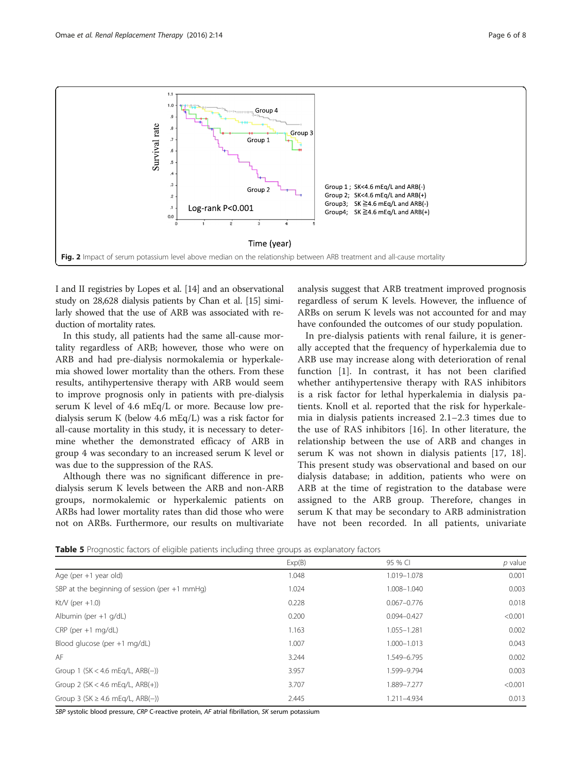<span id="page-5-0"></span>

I and II registries by Lopes et al. [\[14](#page--1-0)] and an observational study on 28,628 dialysis patients by Chan et al. [\[15\]](#page--1-0) similarly showed that the use of ARB was associated with reduction of mortality rates.

In this study, all patients had the same all-cause mortality regardless of ARB; however, those who were on ARB and had pre-dialysis normokalemia or hyperkalemia showed lower mortality than the others. From these results, antihypertensive therapy with ARB would seem to improve prognosis only in patients with pre-dialysis serum K level of 4.6 mEq/L or more. Because low predialysis serum K (below 4.6 mEq/L) was a risk factor for all-cause mortality in this study, it is necessary to determine whether the demonstrated efficacy of ARB in group 4 was secondary to an increased serum K level or was due to the suppression of the RAS.

Although there was no significant difference in predialysis serum K levels between the ARB and non-ARB groups, normokalemic or hyperkalemic patients on ARBs had lower mortality rates than did those who were not on ARBs. Furthermore, our results on multivariate analysis suggest that ARB treatment improved prognosis regardless of serum K levels. However, the influence of ARBs on serum K levels was not accounted for and may have confounded the outcomes of our study population.

In pre-dialysis patients with renal failure, it is generally accepted that the frequency of hyperkalemia due to ARB use may increase along with deterioration of renal function [[1\]](#page--1-0). In contrast, it has not been clarified whether antihypertensive therapy with RAS inhibitors is a risk factor for lethal hyperkalemia in dialysis patients. Knoll et al. reported that the risk for hyperkalemia in dialysis patients increased 2.1–2.3 times due to the use of RAS inhibitors [\[16](#page--1-0)]. In other literature, the relationship between the use of ARB and changes in serum K was not shown in dialysis patients [\[17](#page--1-0), [18](#page--1-0)]. This present study was observational and based on our dialysis database; in addition, patients who were on ARB at the time of registration to the database were assigned to the ARB group. Therefore, changes in serum K that may be secondary to ARB administration have not been recorded. In all patients, univariate

| <b>Table 5</b> Prognostic factors of eligible patients including three groups as explanatory factors |  |  |  |  |
|------------------------------------------------------------------------------------------------------|--|--|--|--|
|------------------------------------------------------------------------------------------------------|--|--|--|--|

|                                                 | Exp(B) | 95 % CI         | $p$ value |
|-------------------------------------------------|--------|-----------------|-----------|
| Age (per $+1$ year old)                         | 1.048  | 1.019-1.078     | 0.001     |
| SBP at the beginning of session (per $+1$ mmHg) | 1.024  | 1.008-1.040     | 0.003     |
| Kt/V (per $+1.0$ )                              | 0.228  | $0.067 - 0.776$ | 0.018     |
| Albumin (per $+1$ g/dL)                         | 0.200  | $0.094 - 0.427$ | < 0.001   |
| $CRP$ (per +1 mg/dL)                            | 1.163  | 1.055-1.281     | 0.002     |
| Blood glucose (per $+1$ mg/dL)                  | 1.007  | 1.000-1.013     | 0.043     |
| AF                                              | 3.244  | 1.549-6.795     | 0.002     |
| Group 1 ( $SK < 4.6$ mEg/L, $ARB(-)$ )          | 3.957  | 1.599-9.794     | 0.003     |
| Group 2 ( $SK < 4.6$ mEg/L, $ARB(+)$ )          | 3.707  | 1.889-7.277     | < 0.001   |
| Group 3 (SK $\geq$ 4.6 mEg/L, ARB(-))           | 2.445  | 1.211-4.934     | 0.013     |

SBP systolic blood pressure, CRP C-reactive protein, AF atrial fibrillation, SK serum potassium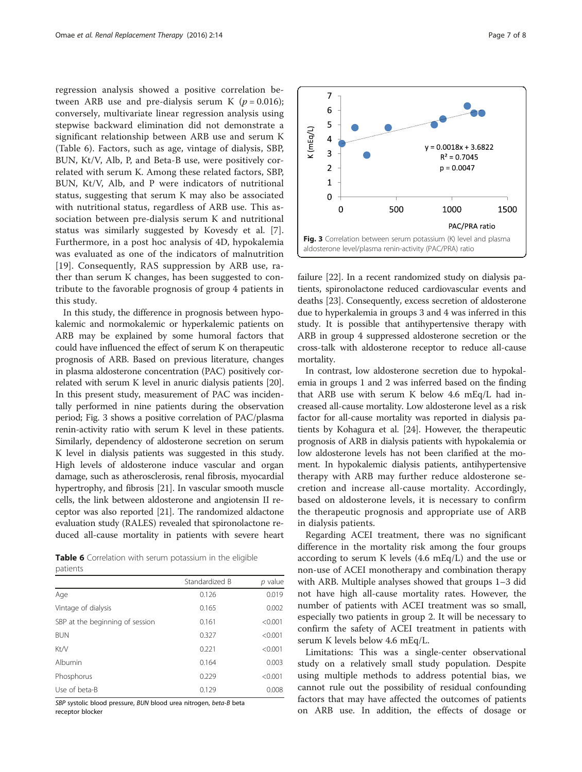regression analysis showed a positive correlation between ARB use and pre-dialysis serum K  $(p = 0.016)$ ; conversely, multivariate linear regression analysis using stepwise backward elimination did not demonstrate a significant relationship between ARB use and serum K (Table 6). Factors, such as age, vintage of dialysis, SBP, BUN, Kt/V, Alb, P, and Beta-B use, were positively correlated with serum K. Among these related factors, SBP, BUN, Kt/V, Alb, and P were indicators of nutritional status, suggesting that serum K may also be associated with nutritional status, regardless of ARB use. This association between pre-dialysis serum K and nutritional status was similarly suggested by Kovesdy et al. [\[7](#page--1-0)]. Furthermore, in a post hoc analysis of 4D, hypokalemia was evaluated as one of the indicators of malnutrition [[19\]](#page--1-0). Consequently, RAS suppression by ARB use, rather than serum K changes, has been suggested to contribute to the favorable prognosis of group 4 patients in this study.

In this study, the difference in prognosis between hypokalemic and normokalemic or hyperkalemic patients on ARB may be explained by some humoral factors that could have influenced the effect of serum K on therapeutic prognosis of ARB. Based on previous literature, changes in plasma aldosterone concentration (PAC) positively correlated with serum K level in anuric dialysis patients [[20](#page--1-0)]. In this present study, measurement of PAC was incidentally performed in nine patients during the observation period; Fig. 3 shows a positive correlation of PAC/plasma renin-activity ratio with serum K level in these patients. Similarly, dependency of aldosterone secretion on serum K level in dialysis patients was suggested in this study. High levels of aldosterone induce vascular and organ damage, such as atherosclerosis, renal fibrosis, myocardial hypertrophy, and fibrosis [[21](#page--1-0)]. In vascular smooth muscle cells, the link between aldosterone and angiotensin II receptor was also reported [[21](#page--1-0)]. The randomized aldactone evaluation study (RALES) revealed that spironolactone reduced all-cause mortality in patients with severe heart

Table 6 Correlation with serum potassium in the eligible patients

|                                 | Standardized B | p value |
|---------------------------------|----------------|---------|
| Age                             | 0.126          | 0.019   |
| Vintage of dialysis             | 0.165          | 0.002   |
| SBP at the beginning of session | 0.161          | < 0.001 |
| <b>BUN</b>                      | 0.327          | < 0.001 |
| Kt/V                            | 0.221          | < 0.001 |
| Albumin                         | 0.164          | 0.003   |
| Phosphorus                      | 0.229          | < 0.001 |
| Use of beta-B                   | 0.129          | 0.008   |

SBP systolic blood pressure, BUN blood urea nitrogen, beta-B beta receptor blocker



failure [[22](#page--1-0)]. In a recent randomized study on dialysis patients, spironolactone reduced cardiovascular events and deaths [[23](#page--1-0)]. Consequently, excess secretion of aldosterone due to hyperkalemia in groups 3 and 4 was inferred in this study. It is possible that antihypertensive therapy with ARB in group 4 suppressed aldosterone secretion or the cross-talk with aldosterone receptor to reduce all-cause mortality.

In contrast, low aldosterone secretion due to hypokalemia in groups 1 and 2 was inferred based on the finding that ARB use with serum K below 4.6 mEq/L had increased all-cause mortality. Low aldosterone level as a risk factor for all-cause mortality was reported in dialysis patients by Kohagura et al. [[24](#page--1-0)]. However, the therapeutic prognosis of ARB in dialysis patients with hypokalemia or low aldosterone levels has not been clarified at the moment. In hypokalemic dialysis patients, antihypertensive therapy with ARB may further reduce aldosterone secretion and increase all-cause mortality. Accordingly, based on aldosterone levels, it is necessary to confirm the therapeutic prognosis and appropriate use of ARB in dialysis patients.

Regarding ACEI treatment, there was no significant difference in the mortality risk among the four groups according to serum K levels (4.6 mEq/L) and the use or non-use of ACEI monotherapy and combination therapy with ARB. Multiple analyses showed that groups 1–3 did not have high all-cause mortality rates. However, the number of patients with ACEI treatment was so small, especially two patients in group 2. It will be necessary to confirm the safety of ACEI treatment in patients with serum K levels below 4.6 mEq/L.

Limitations: This was a single-center observational study on a relatively small study population. Despite using multiple methods to address potential bias, we cannot rule out the possibility of residual confounding factors that may have affected the outcomes of patients on ARB use. In addition, the effects of dosage or